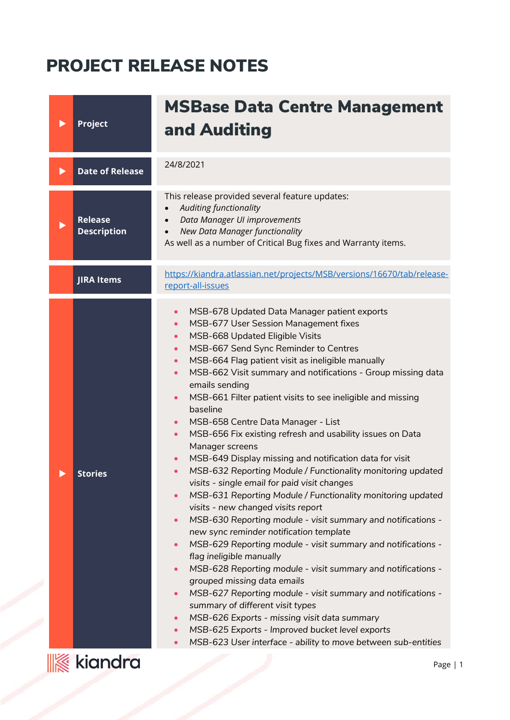## PROJECT RELEASE NOTES

| Project                              | <b>MSBase Data Centre Management</b><br>and Auditing                                                                                                                                                                                                                                                                                                                                                                                                                                                                                                                                                                                                                                                                                                                                                                                                                                                                                                                                                                                                                                                                                                                                                                                                                                                                                                                                                                                                                                                                                                                                   |
|--------------------------------------|----------------------------------------------------------------------------------------------------------------------------------------------------------------------------------------------------------------------------------------------------------------------------------------------------------------------------------------------------------------------------------------------------------------------------------------------------------------------------------------------------------------------------------------------------------------------------------------------------------------------------------------------------------------------------------------------------------------------------------------------------------------------------------------------------------------------------------------------------------------------------------------------------------------------------------------------------------------------------------------------------------------------------------------------------------------------------------------------------------------------------------------------------------------------------------------------------------------------------------------------------------------------------------------------------------------------------------------------------------------------------------------------------------------------------------------------------------------------------------------------------------------------------------------------------------------------------------------|
| <b>Date of Release</b>               | 24/8/2021                                                                                                                                                                                                                                                                                                                                                                                                                                                                                                                                                                                                                                                                                                                                                                                                                                                                                                                                                                                                                                                                                                                                                                                                                                                                                                                                                                                                                                                                                                                                                                              |
| <b>Release</b><br><b>Description</b> | This release provided several feature updates:<br>Auditing functionality<br>Data Manager UI improvements<br>New Data Manager functionality<br>As well as a number of Critical Bug fixes and Warranty items.                                                                                                                                                                                                                                                                                                                                                                                                                                                                                                                                                                                                                                                                                                                                                                                                                                                                                                                                                                                                                                                                                                                                                                                                                                                                                                                                                                            |
| <b>JIRA Items</b>                    | https://kiandra.atlassian.net/projects/MSB/versions/16670/tab/release-<br>report-all-issues                                                                                                                                                                                                                                                                                                                                                                                                                                                                                                                                                                                                                                                                                                                                                                                                                                                                                                                                                                                                                                                                                                                                                                                                                                                                                                                                                                                                                                                                                            |
| <b>Stories</b>                       | MSB-678 Updated Data Manager patient exports<br>$\bullet$<br>MSB-677 User Session Management fixes<br>$\bullet$<br>MSB-668 Updated Eligible Visits<br>$\bullet$<br>MSB-667 Send Sync Reminder to Centres<br>$\bullet$<br>MSB-664 Flag patient visit as ineligible manually<br>$\bullet$<br>MSB-662 Visit summary and notifications - Group missing data<br>$\bullet$<br>emails sending<br>MSB-661 Filter patient visits to see ineligible and missing<br>$\bullet$<br>baseline<br>MSB-658 Centre Data Manager - List<br>$\bullet$<br>MSB-656 Fix existing refresh and usability issues on Data<br>$\bullet$<br>Manager screens<br>MSB-649 Display missing and notification data for visit<br>MSB-632 Reporting Module / Functionality monitoring updated<br>$\bullet$<br>visits - single email for paid visit changes<br>MSB-631 Reporting Module / Functionality monitoring updated<br>$\bullet$<br>visits - new changed visits report<br>MSB-630 Reporting module - visit summary and notifications -<br>$\bullet$<br>new sync reminder notification template<br>MSB-629 Reporting module - visit summary and notifications -<br>$\bullet$<br>flag ineligible manually<br>MSB-628 Reporting module - visit summary and notifications -<br>$\bullet$<br>grouped missing data emails<br>MSB-627 Reporting module - visit summary and notifications -<br>$\bullet$<br>summary of different visit types<br>MSB-626 Exports - missing visit data summary<br>$\bullet$<br>MSB-625 Exports - Improved bucket level exports<br>MSB-623 User interface - ability to move between sub-entities |
| <b>K</b> kiandra                     | Page                                                                                                                                                                                                                                                                                                                                                                                                                                                                                                                                                                                                                                                                                                                                                                                                                                                                                                                                                                                                                                                                                                                                                                                                                                                                                                                                                                                                                                                                                                                                                                                   |